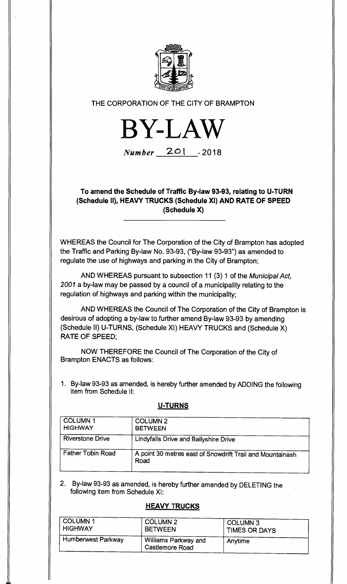

## THE CORPORATION OF THE CITY OF BRAMPTON



**Number 2o1 - <sup>2018</sup>**

**To amend the Schedule of Traffic By-law 93-93, relating to U-TURN (Schedule II), HEAVY TRUCKS (Schedule XI) AND RATE OF SPEED (Schedule X)** 

WHEREAS the Council for The Corporation of the City of Brampton has adopted the Traffic and Parking By-law No. 93-93, ("By-law 93-93") as amended to regulate the use of highways and parking in the City of Brampton;

AND WHEREAS pursuant to subsection 11 (3) 1 of the Municipal Act, 2001 a by-law may be passed by a council of a municipality relating to the regulation of highways and parking within the municipality;

AND WHEREAS the Council of The Corporation of the City of Brampton is desirous of adopting a by-law to further amend By-law 93-93 by amending (Schedule **II)** U-TURNS, (Schedule XI) HEAVY TRUCKS and (Schedule X) RATE OF SPEED;

NOW THEREFORE the Council of The Corporation of the City of Brampton ENACTS as follows:

1. By-law 93-93 as amended, is hereby further amended by ADDING the following item from Schedule II:

## **U-TURNS**

| <b>COLUMN 1</b><br><b>HIGHWAY</b> | <b>COLUMN 2</b><br><b>BETWEEN</b>                                 |
|-----------------------------------|-------------------------------------------------------------------|
| <b>Riverstone Drive</b>           | Lindyfalls Drive and Ballyshire Drive                             |
| <b>Father Tobin Road</b>          | A point 30 metres east of Snowdrift Trail and Mountainash<br>Road |

2. By-law 93-93 as amended, is hereby further amended by DELETING the following item from Schedule XI:

## **HEAVY TRUCKS**

| COLUMN <sub>1</sub> | COLUMN <sub>2</sub>                            | <b>COLUMN 3</b>      |
|---------------------|------------------------------------------------|----------------------|
| <b>HIGHWAY</b>      | <b>BETWEEN</b>                                 | <b>TIMES OR DAYS</b> |
| Humberwest Parkway  | Williams Parkway and<br><b>Castlemore Road</b> | Anytime              |